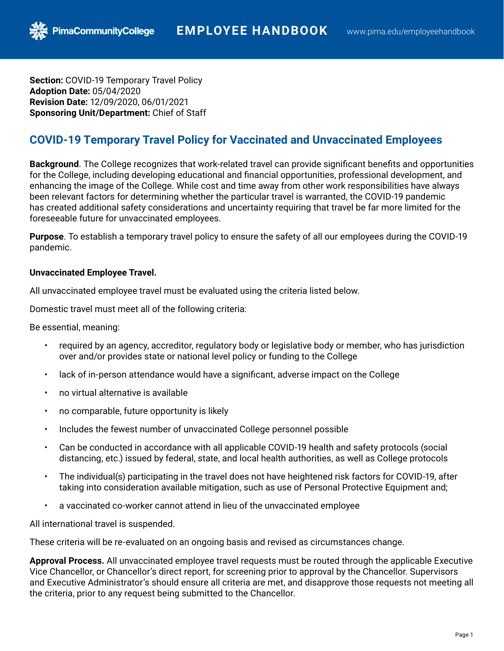**Section:** COVID-19 Temporary Travel Policy **Adoption Date:** 05/04/2020 **Revision Date:** 12/09/2020, 06/01/2021 **Sponsoring Unit/Department:** Chief of Staff

**PimaCommunityCollege** 

# **COVID-19 Temporary Travel Policy for Vaccinated and Unvaccinated Employees**

**Background**. The College recognizes that work-related travel can provide significant benefits and opportunities for the College, including developing educational and financial opportunities, professional development, and enhancing the image of the College. While cost and time away from other work responsibilities have always been relevant factors for determining whether the particular travel is warranted, the COVID-19 pandemic has created additional safety considerations and uncertainty requiring that travel be far more limited for the foreseeable future for unvaccinated employees.

**Purpose**. To establish a temporary travel policy to ensure the safety of all our employees during the COVID-19 pandemic.

#### **Unvaccinated Employee Travel.**

All unvaccinated employee travel must be evaluated using the criteria listed below.

Domestic travel must meet all of the following criteria:

Be essential, meaning:

- required by an agency, accreditor, regulatory body or legislative body or member, who has jurisdiction over and/or provides state or national level policy or funding to the College
- lack of in-person attendance would have a significant, adverse impact on the College
- no virtual alternative is available
- no comparable, future opportunity is likely
- Includes the fewest number of unvaccinated College personnel possible
- Can be conducted in accordance with all applicable COVID-19 health and safety protocols (social distancing, etc.) issued by federal, state, and local health authorities, as well as College protocols
- The individual(s) participating in the travel does not have heightened risk factors for COVID-19, after taking into consideration available mitigation, such as use of Personal Protective Equipment and;
- a vaccinated co-worker cannot attend in lieu of the unvaccinated employee

All international travel is suspended.

These criteria will be re-evaluated on an ongoing basis and revised as circumstances change.

**Approval Process.** All unvaccinated employee travel requests must be routed through the applicable Executive Vice Chancellor, or Chancellor's direct report, for screening prior to approval by the Chancellor. Supervisors and Executive Administrator's should ensure all criteria are met, and disapprove those requests not meeting all the criteria, prior to any request being submitted to the Chancellor.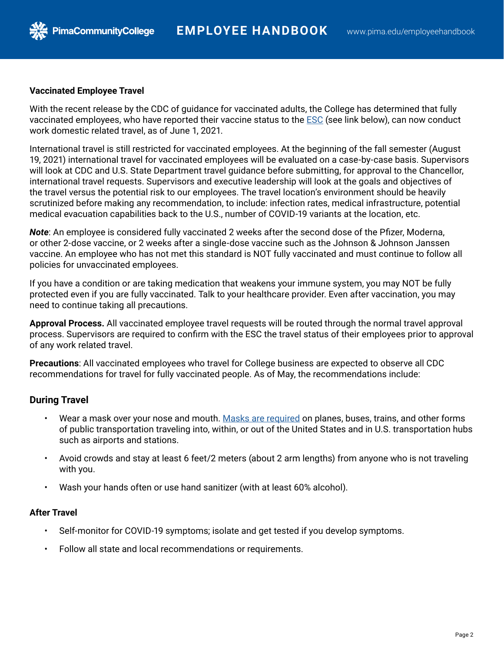

**PimaCommunityCollege** 

With the recent release by the CDC of guidance for vaccinated adults, the College has determined that fully vaccinated employees, who have reported their vaccine status to the [ESC](https://forms.gle/xu1Pu2Cjt6QF8QKf9) (see link below), can now conduct work domestic related travel, as of June 1, 2021.

International travel is still restricted for vaccinated employees. At the beginning of the fall semester (August 19, 2021) international travel for vaccinated employees will be evaluated on a case-by-case basis. Supervisors will look at CDC and U.S. State Department travel guidance before submitting, for approval to the Chancellor, international travel requests. Supervisors and executive leadership will look at the goals and objectives of the travel versus the potential risk to our employees. The travel location's environment should be heavily scrutinized before making any recommendation, to include: infection rates, medical infrastructure, potential medical evacuation capabilities back to the U.S., number of COVID-19 variants at the location, etc.

*Note*: An employee is considered fully vaccinated 2 weeks after the second dose of the Pfizer, Moderna, or other 2-dose vaccine, or 2 weeks after a single-dose vaccine such as the Johnson & Johnson Janssen vaccine. An employee who has not met this standard is NOT fully vaccinated and must continue to follow all policies for unvaccinated employees.

If you have a condition or are taking medication that weakens your immune system, you may NOT be fully protected even if you are fully vaccinated. Talk to your healthcare provider. Even after vaccination, you may need to continue taking all precautions.

**Approval Process.** All vaccinated employee travel requests will be routed through the normal travel approval process. Supervisors are required to confirm with the ESC the travel status of their employees prior to approval of any work related travel.

**Precautions**: All vaccinated employees who travel for College business are expected to observe all CDC recommendations for travel for fully vaccinated people. As of May, the recommendations include:

### **During Travel**

- Wear a mask over your nose and mouth. [Masks are required](https://www.cdc.gov/coronavirus/2019-ncov/travelers/face-masks-public-transportation.html) on planes, buses, trains, and other forms of public transportation traveling into, within, or out of the United States and in U.S. transportation hubs such as airports and stations.
- Avoid crowds and stay at least 6 feet/2 meters (about 2 arm lengths) from anyone who is not traveling with you.
- Wash your hands often or use hand sanitizer (with at least 60% alcohol).

#### **After Travel**

- Self-monitor for COVID-19 symptoms; isolate and get tested if you develop symptoms.
- Follow all state and local recommendations or requirements.